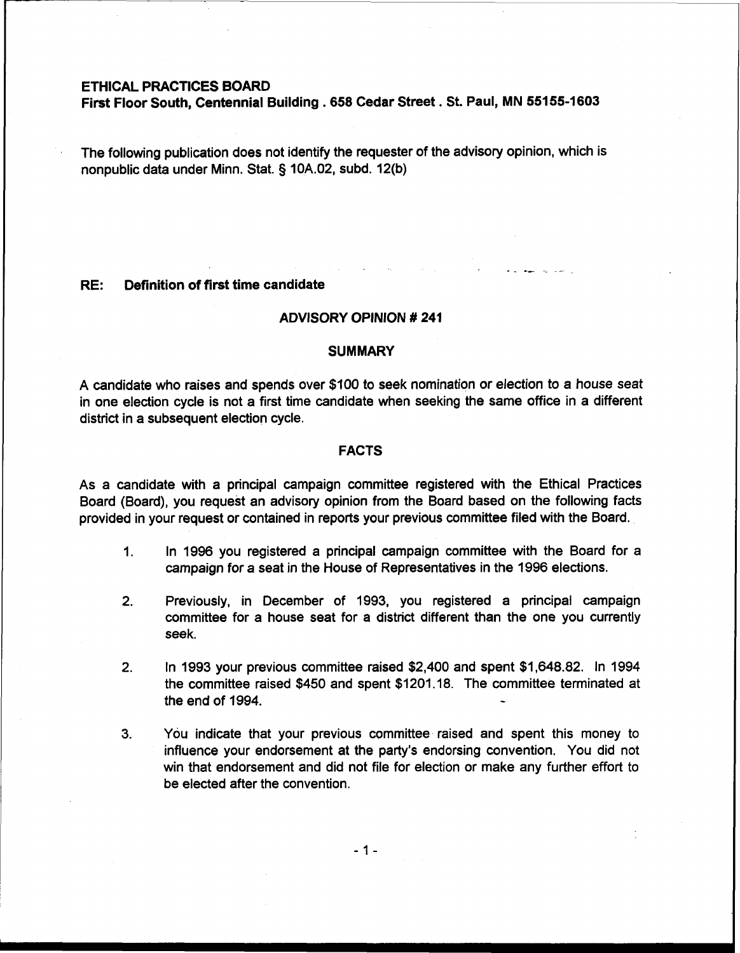# **ETHICAL PRACTICES BOARD**

**First Floor South, Centennial Building** . **658 Cedar Street. St. Paul, MN 55155-1603** 

The following publication does not identify the requester of the advisory opinion, which is nonpublic data under Minn. Stat. § 10A.02, subd. 12(b)

### **RE: Definition of first time candidate**

### **ADVISORY OPINION** # **241**

-\_ -- \_ -

#### **SUMMARY**

A candidate who raises and spends over \$100 to seek nomination or election to a house seat in one election cycle is not a first time candidate when seeking the same office in a different district in a subsequent election cycle.

# **FACTS**

As a candidate with a principal campaign committee registered with the Ethical Practices Board (Board), you request an advisory opinion from the Board based on the following facts provided in your request or contained in reports your previous committee filed with the Board.

- 1. In 1996 you registered a principal campaign committee with the Board for a campaign for a seat in the House of Representatives in the 1996 elections.
- 2. Previously, in December of 1993, you registered a principal campaign committee for a house seat for a district different than the one you currently seek.
- 2. In 1993 your previous committee raised \$2,400 and spent \$1,648.82. In 1994 the committee raised \$450 and spent \$1201.18. The committee terminated at the end of  $1994.$
- **3.** You indicate that your previous committee raised and spent this money to influence your endorsement at the party's endorsing convention. You did not win that endorsement and did not file for election or make any further effort to be elected after the convention.

 $-1-$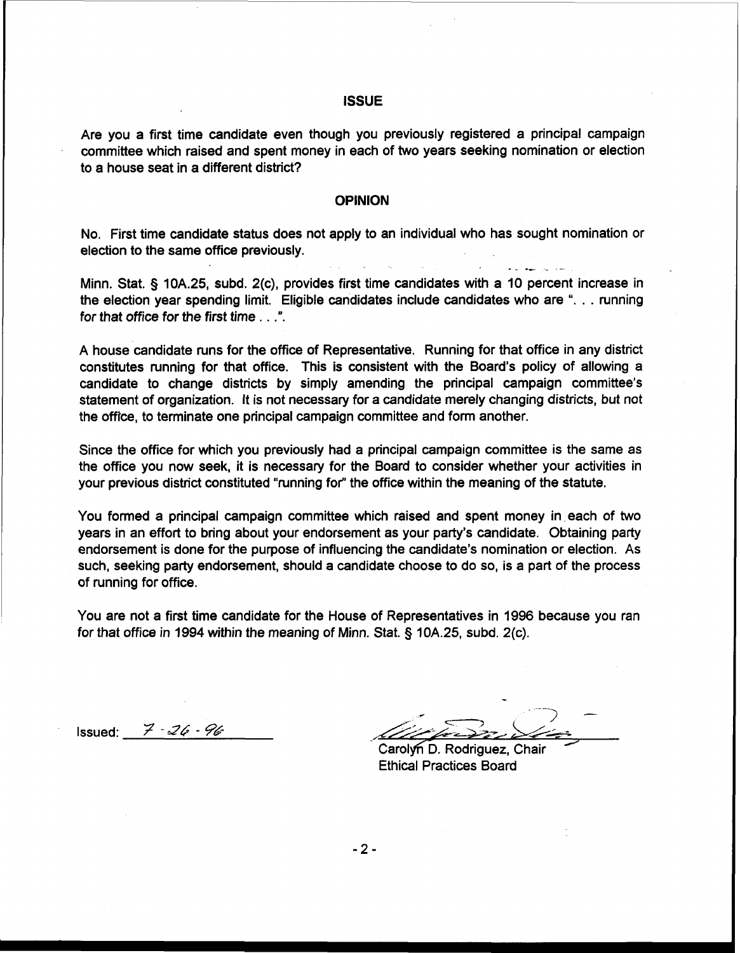# **ISSUE**

Are you a first time candidate even though you previously registered a principal campaign committee which raised and spent money in each of two years seeking nomination or election to a house seat in a different district?

#### **OPINION**

No. First time candidate status does not apply to an individual who has sought nomination or election to the same office previously. -- -- \_ -

Minn. Stat. § 10A.25, subd. 2(c), provides first time candidates with a 10 percent increase in the election year spending limit. Eligible candidates include candidates who are ". . . running for that office for the first time . . .".

A house candidate runs for the office of Representative. Running for that office in any district constitutes running for that office. This is consistent with the Board's policy of allowing a candidate to change districts by simply amending the principal campaign committee's statement of organization. It is not necessary for a candidate merely changing districts, but not the office, to terminate one principal campaign committee and form another.

Since the office for which you previously had a principal campaign committee is the same as the office you now seek, it is necessary for the Board to consider whether your activities in your previous district constituted "running for" the office within the meaning of the statute.

You formed a principal campaign committee which raised and spent money in each of two years in an effort to bring about your endorsement as your party's candidate. Obtaining party endorsement is done for the purpose of influencing the candidate's nomination or election. As such, seeking party endorsement, should a candidate choose to do so, is a part of the process of running for office.

You are not a first time candidate for the House of Representatives in 1996 because you ran for that office in 1994 within the meaning of Minn. Stat. § 10A.25, subd. 2(c).

Issued: 7 - *34* - *p&* **L-** ;

Carolyn D. Rodriguez, Chair Ethical Practices Board

 $-2-$